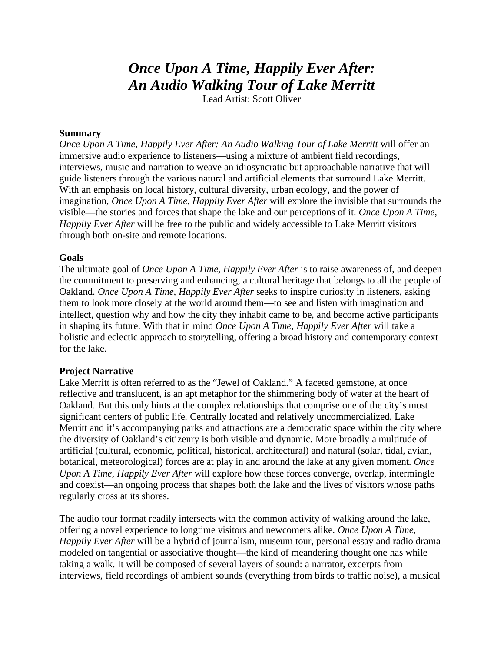# *Once Upon A Time, Happily Ever After: An Audio Walking Tour of Lake Merritt*

Lead Artist: Scott Oliver

## **Summary**

*Once Upon A Time, Happily Ever After: An Audio Walking Tour of Lake Merritt* will offer an immersive audio experience to listeners—using a mixture of ambient field recordings, interviews, music and narration to weave an idiosyncratic but approachable narrative that will guide listeners through the various natural and artificial elements that surround Lake Merritt. With an emphasis on local history, cultural diversity, urban ecology, and the power of imagination, *Once Upon A Time, Happily Ever After* will explore the invisible that surrounds the visible—the stories and forces that shape the lake and our perceptions of it. *Once Upon A Time, Happily Ever After* will be free to the public and widely accessible to Lake Merritt visitors through both on-site and remote locations.

### **Goals**

The ultimate goal of *Once Upon A Time, Happily Ever After* is to raise awareness of, and deepen the commitment to preserving and enhancing, a cultural heritage that belongs to all the people of Oakland. *Once Upon A Time, Happily Ever After* seeks to inspire curiosity in listeners, asking them to look more closely at the world around them—to see and listen with imagination and intellect, question why and how the city they inhabit came to be, and become active participants in shaping its future. With that in mind *Once Upon A Time, Happily Ever After* will take a holistic and eclectic approach to storytelling, offering a broad history and contemporary context for the lake.

#### **Project Narrative**

Lake Merritt is often referred to as the "Jewel of Oakland." A faceted gemstone, at once reflective and translucent, is an apt metaphor for the shimmering body of water at the heart of Oakland. But this only hints at the complex relationships that comprise one of the city's most significant centers of public life. Centrally located and relatively uncommercialized, Lake Merritt and it's accompanying parks and attractions are a democratic space within the city where the diversity of Oakland's citizenry is both visible and dynamic. More broadly a multitude of artificial (cultural, economic, political, historical, architectural) and natural (solar, tidal, avian, botanical, meteorological) forces are at play in and around the lake at any given moment. *Once Upon A Time, Happily Ever After* will explore how these forces converge, overlap, intermingle and coexist—an ongoing process that shapes both the lake and the lives of visitors whose paths regularly cross at its shores.

The audio tour format readily intersects with the common activity of walking around the lake, offering a novel experience to longtime visitors and newcomers alike. *Once Upon A Time, Happily Ever After* will be a hybrid of journalism, museum tour, personal essay and radio drama modeled on tangential or associative thought—the kind of meandering thought one has while taking a walk. It will be composed of several layers of sound: a narrator, excerpts from interviews, field recordings of ambient sounds (everything from birds to traffic noise), a musical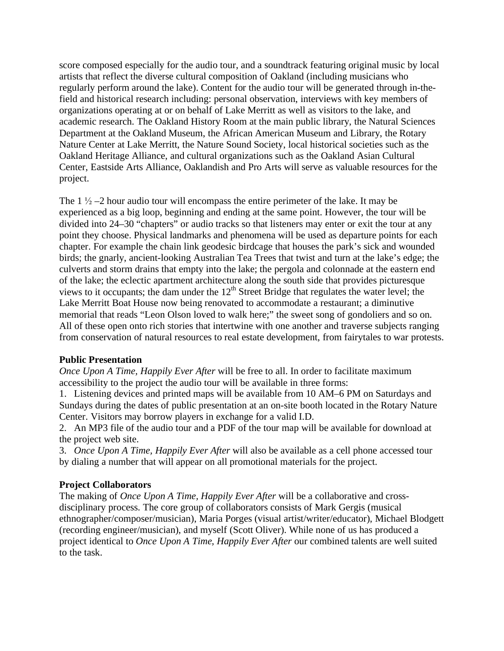score composed especially for the audio tour, and a soundtrack featuring original music by local artists that reflect the diverse cultural composition of Oakland (including musicians who regularly perform around the lake). Content for the audio tour will be generated through in-thefield and historical research including: personal observation, interviews with key members of organizations operating at or on behalf of Lake Merritt as well as visitors to the lake, and academic research. The Oakland History Room at the main public library, the Natural Sciences Department at the Oakland Museum, the African American Museum and Library, the Rotary Nature Center at Lake Merritt, the Nature Sound Society, local historical societies such as the Oakland Heritage Alliance, and cultural organizations such as the Oakland Asian Cultural Center, Eastside Arts Alliance, Oaklandish and Pro Arts will serve as valuable resources for the project.

The 1  $\frac{1}{2}$  –2 hour audio tour will encompass the entire perimeter of the lake. It may be experienced as a big loop, beginning and ending at the same point. However, the tour will be divided into 24–30 "chapters" or audio tracks so that listeners may enter or exit the tour at any point they choose. Physical landmarks and phenomena will be used as departure points for each chapter. For example the chain link geodesic birdcage that houses the park's sick and wounded birds; the gnarly, ancient-looking Australian Tea Trees that twist and turn at the lake's edge; the culverts and storm drains that empty into the lake; the pergola and colonnade at the eastern end of the lake; the eclectic apartment architecture along the south side that provides picturesque views to it occupants; the dam under the  $12<sup>th</sup>$  Street Bridge that regulates the water level; the Lake Merritt Boat House now being renovated to accommodate a restaurant; a diminutive memorial that reads "Leon Olson loved to walk here;" the sweet song of gondoliers and so on. All of these open onto rich stories that intertwine with one another and traverse subjects ranging from conservation of natural resources to real estate development, from fairytales to war protests.

#### **Public Presentation**

*Once Upon A Time, Happily Ever After* will be free to all. In order to facilitate maximum accessibility to the project the audio tour will be available in three forms:

1. Listening devices and printed maps will be available from 10 AM–6 PM on Saturdays and Sundays during the dates of public presentation at an on-site booth located in the Rotary Nature Center. Visitors may borrow players in exchange for a valid I.D.

2. An MP3 file of the audio tour and a PDF of the tour map will be available for download at the project web site.

3. *Once Upon A Time, Happily Ever After* will also be available as a cell phone accessed tour by dialing a number that will appear on all promotional materials for the project.

## **Project Collaborators**

The making of *Once Upon A Time, Happily Ever After* will be a collaborative and crossdisciplinary process. The core group of collaborators consists of Mark Gergis (musical ethnographer/composer/musician), Maria Porges (visual artist/writer/educator), Michael Blodgett (recording engineer/musician), and myself (Scott Oliver). While none of us has produced a project identical to *Once Upon A Time, Happily Ever After* our combined talents are well suited to the task.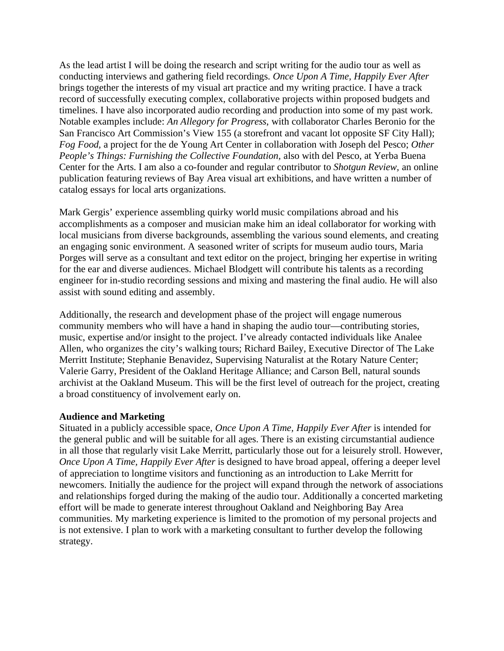As the lead artist I will be doing the research and script writing for the audio tour as well as conducting interviews and gathering field recordings. *Once Upon A Time, Happily Ever After* brings together the interests of my visual art practice and my writing practice. I have a track record of successfully executing complex, collaborative projects within proposed budgets and timelines. I have also incorporated audio recording and production into some of my past work. Notable examples include: *An Allegory for Progress*, with collaborator Charles Beronio for the San Francisco Art Commission's View 155 (a storefront and vacant lot opposite SF City Hall); *Fog Food,* a project for the de Young Art Center in collaboration with Joseph del Pesco; *Other People's Things: Furnishing the Collective Foundation,* also with del Pesco, at Yerba Buena Center for the Arts. I am also a co-founder and regular contributor to *Shotgun Review,* an online publication featuring reviews of Bay Area visual art exhibitions, and have written a number of catalog essays for local arts organizations.

Mark Gergis' experience assembling quirky world music compilations abroad and his accomplishments as a composer and musician make him an ideal collaborator for working with local musicians from diverse backgrounds, assembling the various sound elements, and creating an engaging sonic environment. A seasoned writer of scripts for museum audio tours, Maria Porges will serve as a consultant and text editor on the project, bringing her expertise in writing for the ear and diverse audiences. Michael Blodgett will contribute his talents as a recording engineer for in-studio recording sessions and mixing and mastering the final audio. He will also assist with sound editing and assembly.

Additionally, the research and development phase of the project will engage numerous community members who will have a hand in shaping the audio tour—contributing stories, music, expertise and/or insight to the project. I've already contacted individuals like Analee Allen, who organizes the city's walking tours; Richard Bailey, Executive Director of The Lake Merritt Institute; Stephanie Benavidez, Supervising Naturalist at the Rotary Nature Center; Valerie Garry, President of the Oakland Heritage Alliance; and Carson Bell, natural sounds archivist at the Oakland Museum. This will be the first level of outreach for the project, creating a broad constituency of involvement early on.

## **Audience and Marketing**

Situated in a publicly accessible space, *Once Upon A Time, Happily Ever After* is intended for the general public and will be suitable for all ages. There is an existing circumstantial audience in all those that regularly visit Lake Merritt, particularly those out for a leisurely stroll. However, *Once Upon A Time, Happily Ever After* is designed to have broad appeal, offering a deeper level of appreciation to longtime visitors and functioning as an introduction to Lake Merritt for newcomers. Initially the audience for the project will expand through the network of associations and relationships forged during the making of the audio tour. Additionally a concerted marketing effort will be made to generate interest throughout Oakland and Neighboring Bay Area communities. My marketing experience is limited to the promotion of my personal projects and is not extensive. I plan to work with a marketing consultant to further develop the following strategy.